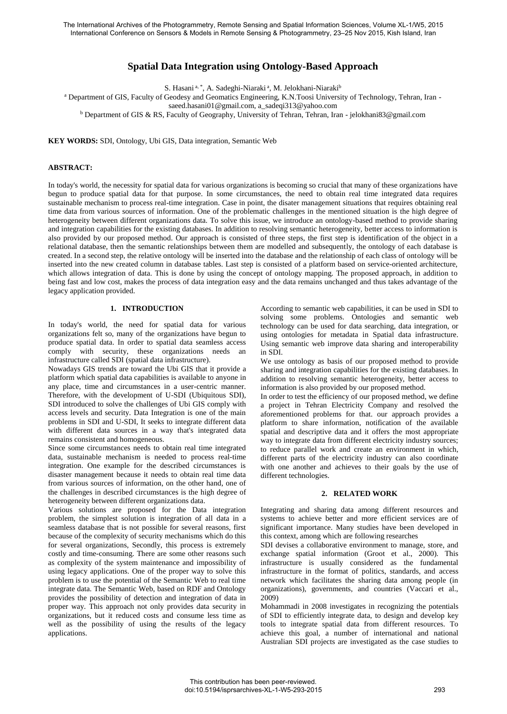# **Spatial Data Integration using Ontology-Based Approach**

S. Hasani<sup>a, \*</sup>, A. Sadeghi-Niaraki<sup>a</sup>, M. Jelokhani-Niaraki<sup>b</sup>

a Department of GIS, Faculty of Geodesy and Geomatics Engineering, K.N.Toosi University of Technology, Tehran, Iran -

[saeed.hasani01@gmail.com,](mailto:saeed.hasani01@gmail.com) a\_sadeqi313@yahoo.com

b Department of GIS & RS, Faculty of Geography, University of Tehran, Tehran, Iran - jelokhani83@gmail.com

**KEY WORDS:** SDI, Ontology, Ubi GIS, Data integration, Semantic Web

#### **ABSTRACT:**

In today's world, the necessity for spatial data for various organizations is becoming so crucial that many of these organizations have begun to produce spatial data for that purpose. In some circumstances, the need to obtain real time integrated data requires sustainable mechanism to process real-time integration. Case in point, the disater management situations that requires obtaining real time data from various sources of information. One of the problematic challenges in the mentioned situation is the high degree of heterogeneity between different organizations data. To solve this issue, we introduce an ontology-based method to provide sharing and integration capabilities for the existing databases. In addition to resolving semantic heterogeneity, better access to information is also provided by our proposed method. Our approach is consisted of three steps, the first step is identification of the object in a relational database, then the semantic relationships between them are modelled and subsequently, the ontology of each database is created. In a second step, the relative ontology will be inserted into the database and the relationship of each class of ontology will be inserted into the new created column in database tables. Last step is consisted of a platform based on service-oriented architecture, which allows integration of data. This is done by using the concept of ontology mapping. The proposed approach, in addition to being fast and low cost, makes the process of data integration easy and the data remains unchanged and thus takes advantage of the legacy application provided.

#### **1. INTRODUCTION**

In today's world, the need for spatial data for various organizations felt so, many of the organizations have begun to produce spatial data. In order to spatial data seamless access comply with security, these organizations needs an infrastructure called SDI (spatial data infrastructure).

Nowadays GIS trends are toward the Ubi GIS that it provide a platform which spatial data capabilities is available to anyone in any place, time and circumstances in a user-centric manner. Therefore, with the development of U-SDI (Ubiquitous SDI), SDI introduced to solve the challenges of Ubi GIS comply with access levels and security. Data Integration is one of the main problems in SDI and U-SDI, It seeks to integrate different data with different data sources in a way that's integrated data remains consistent and homogeneous.

Since some circumstances needs to obtain real time integrated data, sustainable mechanism is needed to process real-time integration. One example for the described circumstances is disaster management because it needs to obtain real time data from various sources of information, on the other hand, one of the challenges in described circumstances is the high degree of heterogeneity between different organizations data.

Various solutions are proposed for the Data integration problem, the simplest solution is integration of all data in a seamless database that is not possible for several reasons, first because of the complexity of security mechanisms which do this for several organizations, Secondly, this process is extremely costly and time-consuming. There are some other reasons such as complexity of the system maintenance and impossibility of using legacy applications. One of the proper way to solve this problem is to use the potential of the Semantic Web to real time integrate data. The Semantic Web, based on RDF and Ontology provides the possibility of detection and integration of data in proper way. This approach not only provides data security in organizations, but it reduced costs and consume less time as well as the possibility of using the results of the legacy applications.

According to semantic web capabilities, it can be used in SDI to solving some problems. Ontologies and semantic web technology can be used for data searching, data integration, or using ontologies for metadata in Spatial data infrastructure. Using semantic web improve data sharing and interoperability in SDI.

We use ontology as basis of our proposed method to provide sharing and integration capabilities for the existing databases. In addition to resolving semantic heterogeneity, better access to information is also provided by our proposed method.

In order to test the efficiency of our proposed method, we define a project in Tehran Electricity Company and resolved the aforementioned problems for that. our approach provides a platform to share information, notification of the available spatial and descriptive data and it offers the most appropriate way to integrate data from different electricity industry sources: to reduce parallel work and create an environment in which, different parts of the electricity industry can also coordinate with one another and achieves to their goals by the use of different technologies.

#### **2. RELATED WORK**

Integrating and sharing data among different resources and systems to achieve better and more efficient services are of significant importance. Many studies have been developed in this context, among which are following researches

SDI devises a collaborative environment to manage, store, and exchange spatial information (Groot et al., 2000). This infrastructure is usually considered as the fundamental infrastructure in the format of politics, standards, and access network which facilitates the sharing data among people (in organizations), governments, and countries (Vaccari et al., 2009)

Mohammadi in 2008 investigates in recognizing the potentials of SDI to efficiently integrate data, to design and develop key tools to integrate spatial data from different resources. To achieve this goal, a number of international and national Australian SDI projects are investigated as the case studies to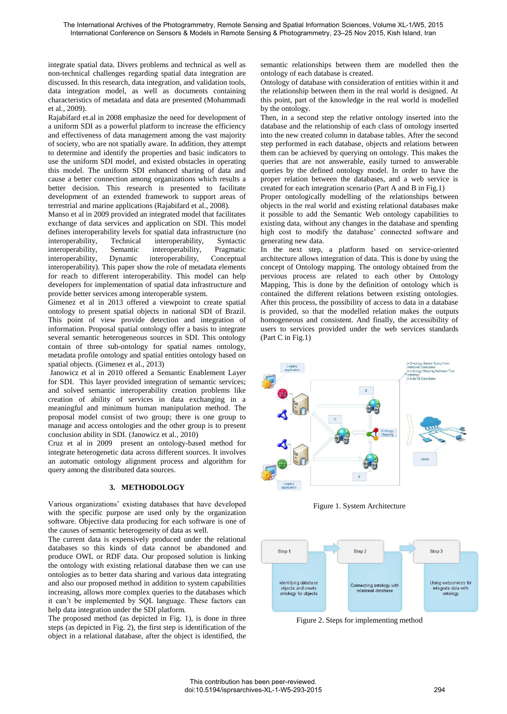integrate spatial data. Divers problems and technical as well as non-technical challenges regarding spatial data integration are discussed. In this research, data integration, and validation tools, data integration model, as well as documents containing characteristics of metadata and data are presented (Mohammadi et al., 2009).

Rajabifard et.al in 2008 emphasize the need for development of a uniform SDI as a powerful platform to increase the efficiency and effectiveness of data management among the vast majority of society, who are not spatially aware. In addition, they attempt to determine and identify the properties and basic indicators to use the uniform SDI model, and existed obstacles in operating this model. The uniform SDI enhanced sharing of data and cause a better connection among organizations which results a better decision. This research is presented to facilitate development of an extended framework to support areas of terrestrial and marine applications (Rajabifard et al., 2008).

Manso et al in 2009 provided an integrated model that facilitates exchange of data services and application on SDI. This model defines interoperability levels for spatial data infrastructure (no interoperability, Technical interoperability, Syntactic interoperability, Semantic interoperability, Pragmatic interoperability, Dynamic interoperability, Conceptual interoperability). This paper show the role of metadata elements for reach to different interoperability. This model can help developers for implementation of spatial data infrastructure and provide better services among interoperable system.

Gimenez et al in 2013 offered a viewpoint to create spatial ontology to present spatial objects in national SDI of Brazil. This point of view provide detection and integration of information. Proposal spatial ontology offer a basis to integrate several semantic heterogeneous sources in SDI. This ontology contain of three sub-ontology for spatial names ontology, metadata profile ontology and spatial entities ontology based on spatial objects. (Gimenez et al., 2013)

 Janowicz et al in 2010 offered a Semantic Enablement Layer for SDI. This layer provided integration of semantic services; and solved semantic interoperability creation problems like creation of ability of services in data exchanging in a meaningful and minimum human manipulation method. The proposal model consist of two group; there is one group to manage and access ontologies and the other group is to present conclusion ability in SDI. (Janowicz et al., 2010)

Cruz et al in 2009 present an ontology-based method for integrate heterogenetic data across different sources. It involves an automatic ontology alignment process and algorithm for query among the distributed data sources.

### **3. METHODOLOGY**

Various organizations' existing databases that have developed with the specific purpose are used only by the organization software. Objective data producing for each software is one of the causes of semantic heterogeneity of data as well.

The current data is expensively produced under the relational databases so this kinds of data cannot be abandoned and produce OWL or RDF data. Our proposed solution is linking the ontology with existing relational database then we can use ontologies as to better data sharing and various data integrating and also our proposed method in addition to system capabilities increasing, allows more complex queries to the databases which it can't be implemented by SQL language. These factors can help data integration under the SDI platform.

The proposed method (as depicted in Fig. 1), is done in three steps (as depicted in Fig. 2), the first step is identification of the object in a relational database, after the object is identified, the semantic relationships between them are modelled then the ontology of each database is created.

Ontology of database with consideration of entities within it and the relationship between them in the real world is designed. At this point, part of the knowledge in the real world is modelled by the ontology.

Then, in a second step the relative ontology inserted into the database and the relationship of each class of ontology inserted into the new created column in database tables. After the second step performed in each database, objects and relations between them can be achieved by querying on ontology. This makes the queries that are not answerable, easily turned to answerable queries by the defined ontology model. In order to have the proper relation between the databases, and a web service is created for each integration scenario (Part A and B in Fig.1)

Proper ontologically modelling of the relationships between objects in the real world and existing relational databases make it possible to add the Semantic Web ontology capabilities to existing data, without any changes in the database and spending high cost to modify the database' connected software and generating new data.

In the next step, a platform based on service-oriented architecture allows integration of data. This is done by using the concept of Ontology mapping. The ontology obtained from the pervious process are related to each other by Ontology Mapping, This is done by the definition of ontology which is contained the different relations between existing ontologies. After this process, the possibility of access to data in a database is provided, so that the modelled relation makes the outputs homogeneous and consistent. And finally, the accessibility of users to services provided under the web services standards (Part C in Fig.1)



Figure 1. System Architecture



Figure 2. Steps for implementing method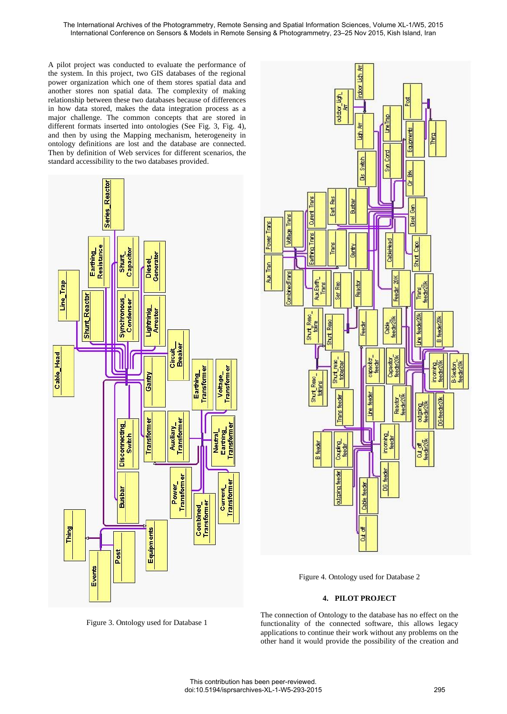A pilot project was conducted to evaluate the performance of the system. In this project, two GIS databases of the regional power organization which one of them stores spatial data and another stores non spatial data. The complexity of making relationship between these two databases because of differences in how data stored, makes the data integration process as a major challenge. The common concepts that are stored in different formats inserted into ontologies (See Fig. 3, Fig. 4), and then by using the Mapping mechanism, heterogeneity in ontology definitions are lost and the database are connected. Then by definition of Web services for different scenarios, the standard accessibility to the two databases provided.





Figure 4. Ontology used for Database 2

## **4. PILOT PROJECT**

The connection of Ontology to the database has no effect on the functionality of the connected software, this allows legacy applications to continue their work without any problems on the other hand it would provide the possibility of the creation and

Figure 3. Ontology used for Database 1